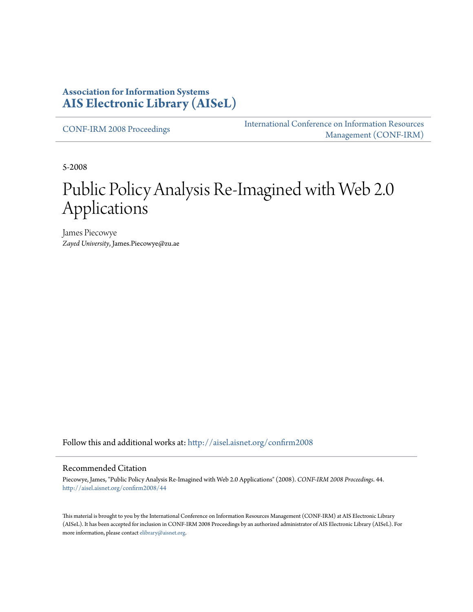#### **Association for Information Systems [AIS Electronic Library \(AISeL\)](http://aisel.aisnet.org?utm_source=aisel.aisnet.org%2Fconfirm2008%2F44&utm_medium=PDF&utm_campaign=PDFCoverPages)**

[CONF-IRM 2008 Proceedings](http://aisel.aisnet.org/confirm2008?utm_source=aisel.aisnet.org%2Fconfirm2008%2F44&utm_medium=PDF&utm_campaign=PDFCoverPages)

[International Conference on Information Resources](http://aisel.aisnet.org/conf-irm?utm_source=aisel.aisnet.org%2Fconfirm2008%2F44&utm_medium=PDF&utm_campaign=PDFCoverPages) [Management \(CONF-IRM\)](http://aisel.aisnet.org/conf-irm?utm_source=aisel.aisnet.org%2Fconfirm2008%2F44&utm_medium=PDF&utm_campaign=PDFCoverPages)

5-2008

# Public Policy Analysis Re-Imagined with Web 2.0 Applications

James Piecowye *Zayed University*, James.Piecowye@zu.ae

Follow this and additional works at: [http://aisel.aisnet.org/confirm2008](http://aisel.aisnet.org/confirm2008?utm_source=aisel.aisnet.org%2Fconfirm2008%2F44&utm_medium=PDF&utm_campaign=PDFCoverPages)

#### Recommended Citation

Piecowye, James, "Public Policy Analysis Re-Imagined with Web 2.0 Applications" (2008). *CONF-IRM 2008 Proceedings*. 44. [http://aisel.aisnet.org/confirm2008/44](http://aisel.aisnet.org/confirm2008/44?utm_source=aisel.aisnet.org%2Fconfirm2008%2F44&utm_medium=PDF&utm_campaign=PDFCoverPages)

This material is brought to you by the International Conference on Information Resources Management (CONF-IRM) at AIS Electronic Library (AISeL). It has been accepted for inclusion in CONF-IRM 2008 Proceedings by an authorized administrator of AIS Electronic Library (AISeL). For more information, please contact [elibrary@aisnet.org.](mailto:elibrary@aisnet.org%3E)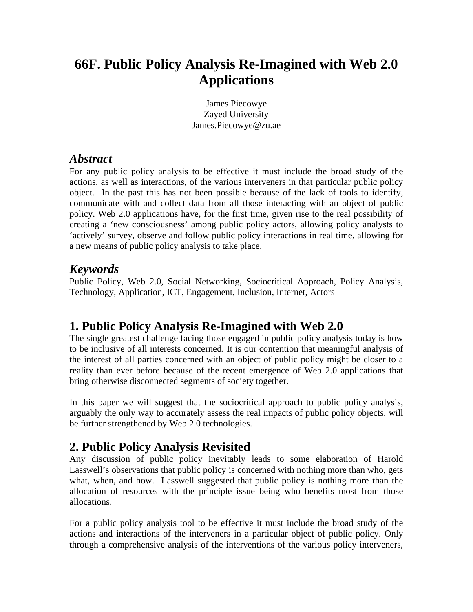# **66F. Public Policy Analysis Re-Imagined with Web 2.0 Applications**

James Piecowye Zayed University James.Piecowye@zu.ae

#### *Abstract*

For any public policy analysis to be effective it must include the broad study of the actions, as well as interactions, of the various interveners in that particular public policy object. In the past this has not been possible because of the lack of tools to identify, communicate with and collect data from all those interacting with an object of public policy. Web 2.0 applications have, for the first time, given rise to the real possibility of creating a 'new consciousness' among public policy actors, allowing policy analysts to 'actively' survey, observe and follow public policy interactions in real time, allowing for a new means of public policy analysis to take place.

#### *Keywords*

Public Policy, Web 2.0, Social Networking, Sociocritical Approach, Policy Analysis, Technology, Application, ICT, Engagement, Inclusion, Internet, Actors

# **1. Public Policy Analysis Re-Imagined with Web 2.0**

The single greatest challenge facing those engaged in public policy analysis today is how to be inclusive of all interests concerned. It is our contention that meaningful analysis of the interest of all parties concerned with an object of public policy might be closer to a reality than ever before because of the recent emergence of Web 2.0 applications that bring otherwise disconnected segments of society together.

In this paper we will suggest that the sociocritical approach to public policy analysis, arguably the only way to accurately assess the real impacts of public policy objects, will be further strengthened by Web 2.0 technologies.

# **2. Public Policy Analysis Revisited**

Any discussion of public policy inevitably leads to some elaboration of Harold Lasswell's observations that public policy is concerned with nothing more than who, gets what, when, and how. Lasswell suggested that public policy is nothing more than the allocation of resources with the principle issue being who benefits most from those allocations.

For a public policy analysis tool to be effective it must include the broad study of the actions and interactions of the interveners in a particular object of public policy. Only through a comprehensive analysis of the interventions of the various policy interveners,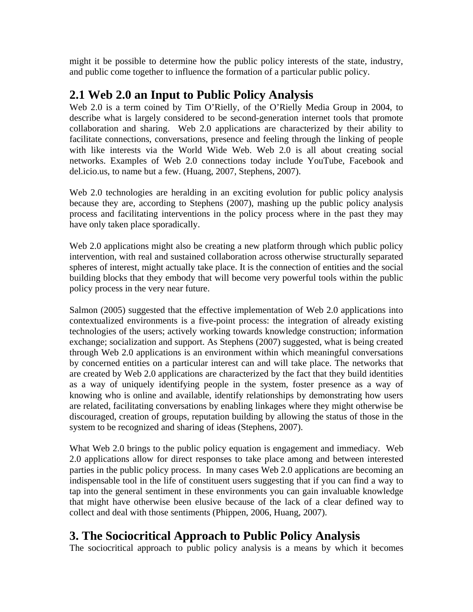might it be possible to determine how the public policy interests of the state, industry, and public come together to influence the formation of a particular public policy.

## **2.1 Web 2.0 an Input to Public Policy Analysis**

Web 2.0 is a term coined by Tim O'Rielly, of the O'Rielly Media Group in 2004, to describe what is largely considered to be second-generation internet tools that promote collaboration and sharing. Web 2.0 applications are characterized by their ability to facilitate connections, conversations, presence and feeling through the linking of people with like interests via the World Wide Web. Web 2.0 is all about creating social networks. Examples of Web 2.0 connections today include YouTube, Facebook and del.icio.us, to name but a few. (Huang, 2007, Stephens, 2007).

Web 2.0 technologies are heralding in an exciting evolution for public policy analysis because they are, according to Stephens (2007), mashing up the public policy analysis process and facilitating interventions in the policy process where in the past they may have only taken place sporadically.

Web 2.0 applications might also be creating a new platform through which public policy intervention, with real and sustained collaboration across otherwise structurally separated spheres of interest, might actually take place. It is the connection of entities and the social building blocks that they embody that will become very powerful tools within the public policy process in the very near future.

Salmon (2005) suggested that the effective implementation of Web 2.0 applications into contextualized environments is a five-point process: the integration of already existing technologies of the users; actively working towards knowledge construction; information exchange; socialization and support. As Stephens (2007) suggested, what is being created through Web 2.0 applications is an environment within which meaningful conversations by concerned entities on a particular interest can and will take place. The networks that are created by Web 2.0 applications are characterized by the fact that they build identities as a way of uniquely identifying people in the system, foster presence as a way of knowing who is online and available, identify relationships by demonstrating how users are related, facilitating conversations by enabling linkages where they might otherwise be discouraged, creation of groups, reputation building by allowing the status of those in the system to be recognized and sharing of ideas (Stephens, 2007).

What Web 2.0 brings to the public policy equation is engagement and immediacy. Web 2.0 applications allow for direct responses to take place among and between interested parties in the public policy process. In many cases Web 2.0 applications are becoming an indispensable tool in the life of constituent users suggesting that if you can find a way to tap into the general sentiment in these environments you can gain invaluable knowledge that might have otherwise been elusive because of the lack of a clear defined way to collect and deal with those sentiments (Phippen, 2006, Huang, 2007).

# **3. The Sociocritical Approach to Public Policy Analysis**

The sociocritical approach to public policy analysis is a means by which it becomes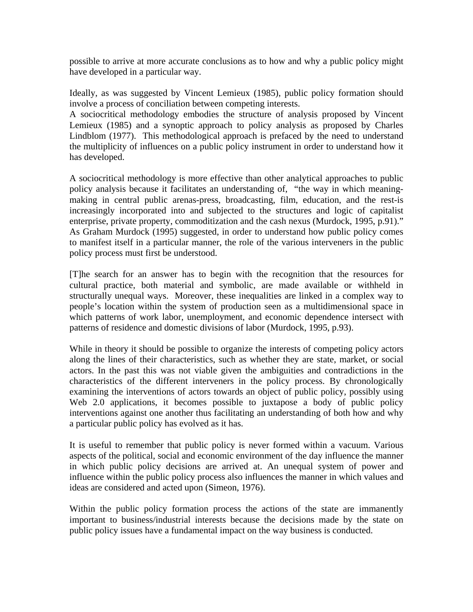possible to arrive at more accurate conclusions as to how and why a public policy might have developed in a particular way.

Ideally, as was suggested by Vincent Lemieux (1985), public policy formation should involve a process of conciliation between competing interests.

A sociocritical methodology embodies the structure of analysis proposed by Vincent Lemieux (1985) and a synoptic approach to policy analysis as proposed by Charles Lindblom (1977). This methodological approach is prefaced by the need to understand the multiplicity of influences on a public policy instrument in order to understand how it has developed.

A sociocritical methodology is more effective than other analytical approaches to public policy analysis because it facilitates an understanding of, "the way in which meaningmaking in central public arenas-press, broadcasting, film, education, and the rest-is increasingly incorporated into and subjected to the structures and logic of capitalist enterprise, private property, commoditization and the cash nexus (Murdock, 1995, p.91)." As Graham Murdock (1995) suggested, in order to understand how public policy comes to manifest itself in a particular manner, the role of the various interveners in the public policy process must first be understood.

[T]he search for an answer has to begin with the recognition that the resources for cultural practice, both material and symbolic, are made available or withheld in structurally unequal ways. Moreover, these inequalities are linked in a complex way to people's location within the system of production seen as a multidimensional space in which patterns of work labor, unemployment, and economic dependence intersect with patterns of residence and domestic divisions of labor (Murdock, 1995, p.93).

While in theory it should be possible to organize the interests of competing policy actors along the lines of their characteristics, such as whether they are state, market, or social actors. In the past this was not viable given the ambiguities and contradictions in the characteristics of the different interveners in the policy process. By chronologically examining the interventions of actors towards an object of public policy, possibly using Web 2.0 applications, it becomes possible to juxtapose a body of public policy interventions against one another thus facilitating an understanding of both how and why a particular public policy has evolved as it has.

It is useful to remember that public policy is never formed within a vacuum. Various aspects of the political, social and economic environment of the day influence the manner in which public policy decisions are arrived at. An unequal system of power and influence within the public policy process also influences the manner in which values and ideas are considered and acted upon (Simeon, 1976).

Within the public policy formation process the actions of the state are immanently important to business/industrial interests because the decisions made by the state on public policy issues have a fundamental impact on the way business is conducted.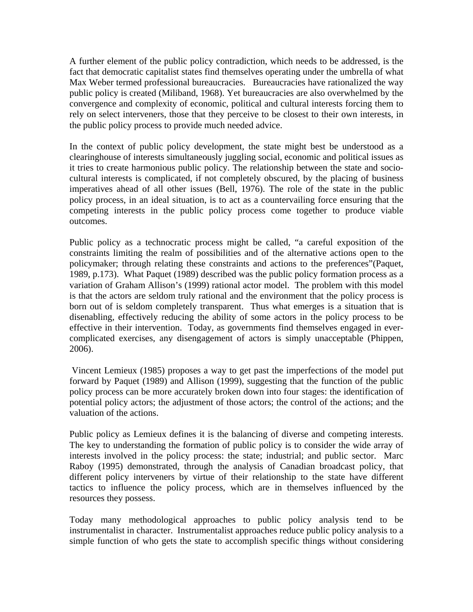A further element of the public policy contradiction, which needs to be addressed, is the fact that democratic capitalist states find themselves operating under the umbrella of what Max Weber termed professional bureaucracies. Bureaucracies have rationalized the way public policy is created (Miliband, 1968). Yet bureaucracies are also overwhelmed by the convergence and complexity of economic, political and cultural interests forcing them to rely on select interveners, those that they perceive to be closest to their own interests, in the public policy process to provide much needed advice.

In the context of public policy development, the state might best be understood as a clearinghouse of interests simultaneously juggling social, economic and political issues as it tries to create harmonious public policy. The relationship between the state and sociocultural interests is complicated, if not completely obscured, by the placing of business imperatives ahead of all other issues (Bell, 1976). The role of the state in the public policy process, in an ideal situation, is to act as a countervailing force ensuring that the competing interests in the public policy process come together to produce viable outcomes.

Public policy as a technocratic process might be called, "a careful exposition of the constraints limiting the realm of possibilities and of the alternative actions open to the policymaker; through relating these constraints and actions to the preferences"(Paquet, 1989, p.173). What Paquet (1989) described was the public policy formation process as a variation of Graham Allison's (1999) rational actor model. The problem with this model is that the actors are seldom truly rational and the environment that the policy process is born out of is seldom completely transparent. Thus what emerges is a situation that is disenabling, effectively reducing the ability of some actors in the policy process to be effective in their intervention. Today, as governments find themselves engaged in evercomplicated exercises, any disengagement of actors is simply unacceptable (Phippen, 2006).

 Vincent Lemieux (1985) proposes a way to get past the imperfections of the model put forward by Paquet (1989) and Allison (1999), suggesting that the function of the public policy process can be more accurately broken down into four stages: the identification of potential policy actors; the adjustment of those actors; the control of the actions; and the valuation of the actions.

Public policy as Lemieux defines it is the balancing of diverse and competing interests. The key to understanding the formation of public policy is to consider the wide array of interests involved in the policy process: the state; industrial; and public sector. Marc Raboy (1995) demonstrated, through the analysis of Canadian broadcast policy, that different policy interveners by virtue of their relationship to the state have different tactics to influence the policy process, which are in themselves influenced by the resources they possess.

Today many methodological approaches to public policy analysis tend to be instrumentalist in character. Instrumentalist approaches reduce public policy analysis to a simple function of who gets the state to accomplish specific things without considering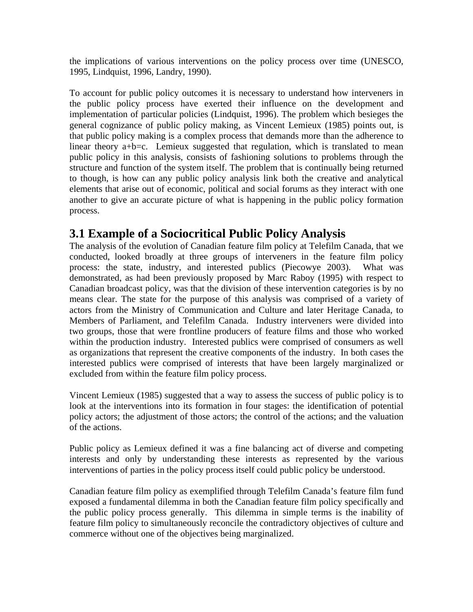the implications of various interventions on the policy process over time (UNESCO, 1995, Lindquist, 1996, Landry, 1990).

To account for public policy outcomes it is necessary to understand how interveners in the public policy process have exerted their influence on the development and implementation of particular policies (Lindquist, 1996). The problem which besieges the general cognizance of public policy making, as Vincent Lemieux (1985) points out, is that public policy making is a complex process that demands more than the adherence to linear theory  $a+b=c$ . Lemieux suggested that regulation, which is translated to mean public policy in this analysis, consists of fashioning solutions to problems through the structure and function of the system itself. The problem that is continually being returned to though, is how can any public policy analysis link both the creative and analytical elements that arise out of economic, political and social forums as they interact with one another to give an accurate picture of what is happening in the public policy formation process.

## **3.1 Example of a Sociocritical Public Policy Analysis**

The analysis of the evolution of Canadian feature film policy at Telefilm Canada, that we conducted, looked broadly at three groups of interveners in the feature film policy process: the state, industry, and interested publics (Piecowye 2003). What was demonstrated, as had been previously proposed by Marc Raboy (1995) with respect to Canadian broadcast policy, was that the division of these intervention categories is by no means clear. The state for the purpose of this analysis was comprised of a variety of actors from the Ministry of Communication and Culture and later Heritage Canada, to Members of Parliament, and Telefilm Canada. Industry interveners were divided into two groups, those that were frontline producers of feature films and those who worked within the production industry. Interested publics were comprised of consumers as well as organizations that represent the creative components of the industry. In both cases the interested publics were comprised of interests that have been largely marginalized or excluded from within the feature film policy process.

Vincent Lemieux (1985) suggested that a way to assess the success of public policy is to look at the interventions into its formation in four stages: the identification of potential policy actors; the adjustment of those actors; the control of the actions; and the valuation of the actions.

Public policy as Lemieux defined it was a fine balancing act of diverse and competing interests and only by understanding these interests as represented by the various interventions of parties in the policy process itself could public policy be understood.

Canadian feature film policy as exemplified through Telefilm Canada's feature film fund exposed a fundamental dilemma in both the Canadian feature film policy specifically and the public policy process generally. This dilemma in simple terms is the inability of feature film policy to simultaneously reconcile the contradictory objectives of culture and commerce without one of the objectives being marginalized.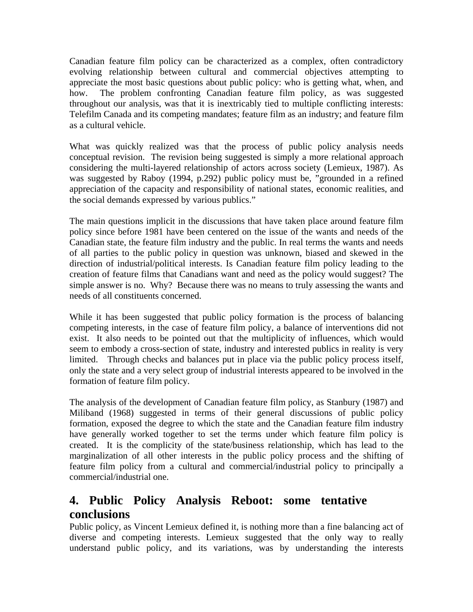Canadian feature film policy can be characterized as a complex, often contradictory evolving relationship between cultural and commercial objectives attempting to appreciate the most basic questions about public policy: who is getting what, when, and how. The problem confronting Canadian feature film policy, as was suggested throughout our analysis, was that it is inextricably tied to multiple conflicting interests: Telefilm Canada and its competing mandates; feature film as an industry; and feature film as a cultural vehicle.

What was quickly realized was that the process of public policy analysis needs conceptual revision. The revision being suggested is simply a more relational approach considering the multi-layered relationship of actors across society (Lemieux, 1987). As was suggested by Raboy (1994, p.292) public policy must be, "grounded in a refined appreciation of the capacity and responsibility of national states, economic realities, and the social demands expressed by various publics."

The main questions implicit in the discussions that have taken place around feature film policy since before 1981 have been centered on the issue of the wants and needs of the Canadian state, the feature film industry and the public. In real terms the wants and needs of all parties to the public policy in question was unknown, biased and skewed in the direction of industrial/political interests. Is Canadian feature film policy leading to the creation of feature films that Canadians want and need as the policy would suggest? The simple answer is no. Why? Because there was no means to truly assessing the wants and needs of all constituents concerned.

While it has been suggested that public policy formation is the process of balancing competing interests, in the case of feature film policy, a balance of interventions did not exist. It also needs to be pointed out that the multiplicity of influences, which would seem to embody a cross-section of state, industry and interested publics in reality is very limited. Through checks and balances put in place via the public policy process itself, only the state and a very select group of industrial interests appeared to be involved in the formation of feature film policy.

The analysis of the development of Canadian feature film policy, as Stanbury (1987) and Miliband (1968) suggested in terms of their general discussions of public policy formation, exposed the degree to which the state and the Canadian feature film industry have generally worked together to set the terms under which feature film policy is created. It is the complicity of the state/business relationship, which has lead to the marginalization of all other interests in the public policy process and the shifting of feature film policy from a cultural and commercial/industrial policy to principally a commercial/industrial one.

# **4. Public Policy Analysis Reboot: some tentative conclusions**

Public policy, as Vincent Lemieux defined it, is nothing more than a fine balancing act of diverse and competing interests. Lemieux suggested that the only way to really understand public policy, and its variations, was by understanding the interests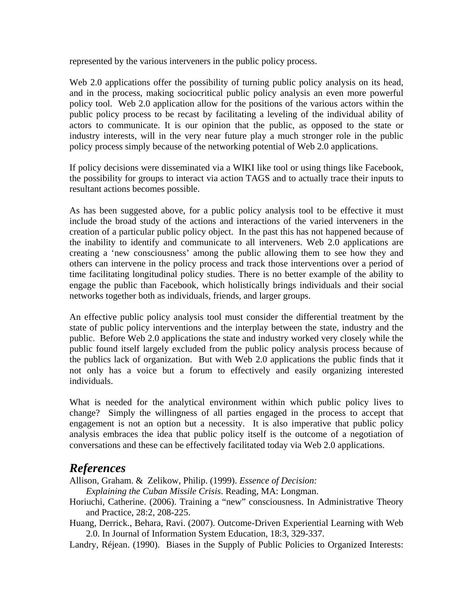represented by the various interveners in the public policy process.

Web 2.0 applications offer the possibility of turning public policy analysis on its head, and in the process, making sociocritical public policy analysis an even more powerful policy tool. Web 2.0 application allow for the positions of the various actors within the public policy process to be recast by facilitating a leveling of the individual ability of actors to communicate. It is our opinion that the public, as opposed to the state or industry interests, will in the very near future play a much stronger role in the public policy process simply because of the networking potential of Web 2.0 applications.

If policy decisions were disseminated via a WIKI like tool or using things like Facebook, the possibility for groups to interact via action TAGS and to actually trace their inputs to resultant actions becomes possible.

As has been suggested above, for a public policy analysis tool to be effective it must include the broad study of the actions and interactions of the varied interveners in the creation of a particular public policy object. In the past this has not happened because of the inability to identify and communicate to all interveners. Web 2.0 applications are creating a 'new consciousness' among the public allowing them to see how they and others can intervene in the policy process and track those interventions over a period of time facilitating longitudinal policy studies. There is no better example of the ability to engage the public than Facebook, which holistically brings individuals and their social networks together both as individuals, friends, and larger groups.

An effective public policy analysis tool must consider the differential treatment by the state of public policy interventions and the interplay between the state, industry and the public. Before Web 2.0 applications the state and industry worked very closely while the public found itself largely excluded from the public policy analysis process because of the publics lack of organization. But with Web 2.0 applications the public finds that it not only has a voice but a forum to effectively and easily organizing interested individuals.

What is needed for the analytical environment within which public policy lives to change? Simply the willingness of all parties engaged in the process to accept that engagement is not an option but a necessity. It is also imperative that public policy analysis embraces the idea that public policy itself is the outcome of a negotiation of conversations and these can be effectively facilitated today via Web 2.0 applications.

#### *References*

Allison, Graham. & Zelikow, Philip. (1999). *Essence of Decision:* 

 *Explaining the Cuban Missile Crisis*. Reading, MA: Longman.

- Horiuchi, Catherine. (2006). Training a "new" consciousness. In Administrative Theory and Practice, 28:2, 208-225.
- Huang, Derrick., Behara, Ravi. (2007). Outcome-Driven Experiential Learning with Web 2.0. In Journal of Information System Education, 18:3, 329-337.

Landry, Réjean. (1990). Biases in the Supply of Public Policies to Organized Interests: